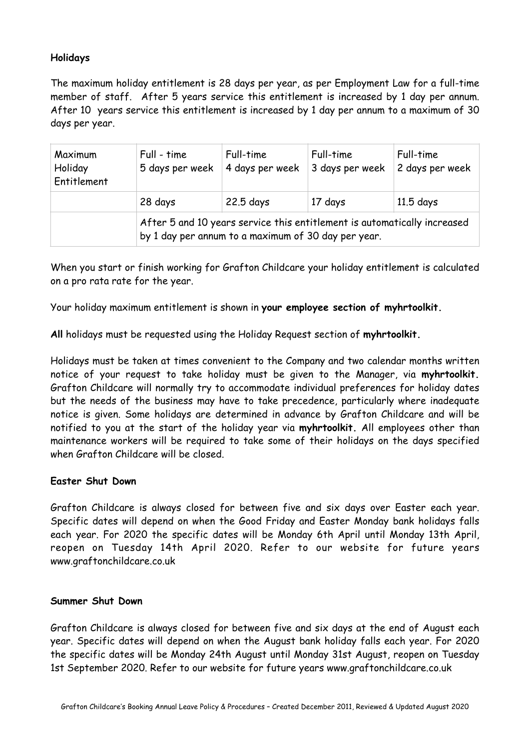# **Holidays**

The maximum holiday entitlement is 28 days per year, as per Employment Law for a full-time member of staff. After 5 years service this entitlement is increased by 1 day per annum. After 10 years service this entitlement is increased by 1 day per annum to a maximum of 30 days per year.

| Maximum<br>Holiday<br>Entitlement | Full - time<br>5 days per week | Full-time<br>4 days per week                                                                                                    | Full-time<br>3 days per week | Full-time<br>2 days per week |
|-----------------------------------|--------------------------------|---------------------------------------------------------------------------------------------------------------------------------|------------------------------|------------------------------|
|                                   | 28 days                        | 22.5 days                                                                                                                       | 17 days                      | $11.5$ days                  |
|                                   |                                | After 5 and 10 years service this entitlement is automatically increased<br>by 1 day per annum to a maximum of 30 day per year. |                              |                              |

When you start or finish working for Grafton Childcare your holiday entitlement is calculated on a pro rata rate for the year.

Your holiday maximum entitlement is shown in **your employee section of myhrtoolkit.** 

**All** holidays must be requested using the Holiday Request section of **myhrtoolkit.** 

Holidays must be taken at times convenient to the Company and two calendar months written notice of your request to take holiday must be given to the Manager, via **myhrtoolkit.** Grafton Childcare will normally try to accommodate individual preferences for holiday dates but the needs of the business may have to take precedence, particularly where inadequate notice is given. Some holidays are determined in advance by Grafton Childcare and will be notified to you at the start of the holiday year via **myhrtoolkit.** All employees other than maintenance workers will be required to take some of their holidays on the days specified when Grafton Childcare will be closed.

## **Easter Shut Down**

Grafton Childcare is always closed for between five and six days over Easter each year. Specific dates will depend on when the Good Friday and Easter Monday bank holidays falls each year. For 2020 the specific dates will be Monday 6th April until Monday 13th April, reopen on Tuesday 14th April 2020. Refer to our website for future years www.graftonchildcare.co.uk

### **Summer Shut Down**

Grafton Childcare is always closed for between five and six days at the end of August each year. Specific dates will depend on when the August bank holiday falls each year. For 2020 the specific dates will be Monday 24th August until Monday 31st August, reopen on Tuesday 1st September 2020. Refer to our website for future years www.graftonchildcare.co.uk